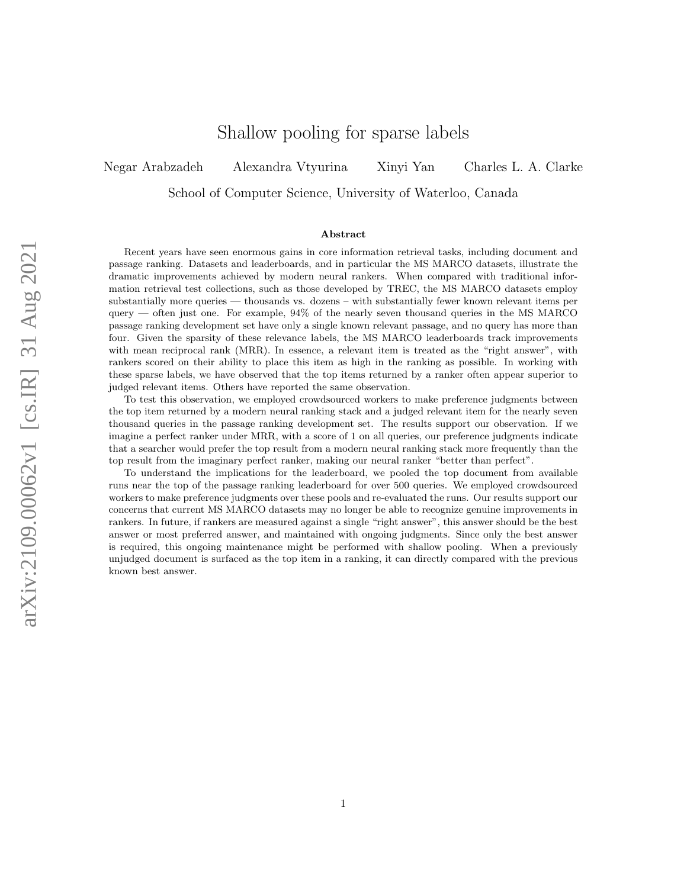# Shallow pooling for sparse labels

Negar Arabzadeh Alexandra Vtyurina Xinyi Yan Charles L. A. Clarke

School of Computer Science, University of Waterloo, Canada

#### Abstract

Recent years have seen enormous gains in core information retrieval tasks, including document and passage ranking. Datasets and leaderboards, and in particular the MS MARCO datasets, illustrate the dramatic improvements achieved by modern neural rankers. When compared with traditional information retrieval test collections, such as those developed by TREC, the MS MARCO datasets employ substantially more queries — thousands vs. dozens – with substantially fewer known relevant items per  $q \equiv q \equiv q$  often just one. For example, 94% of the nearly seven thousand queries in the MS MARCO passage ranking development set have only a single known relevant passage, and no query has more than four. Given the sparsity of these relevance labels, the MS MARCO leaderboards track improvements with mean reciprocal rank (MRR). In essence, a relevant item is treated as the "right answer", with rankers scored on their ability to place this item as high in the ranking as possible. In working with these sparse labels, we have observed that the top items returned by a ranker often appear superior to judged relevant items. Others have reported the same observation.

To test this observation, we employed crowdsourced workers to make preference judgments between the top item returned by a modern neural ranking stack and a judged relevant item for the nearly seven thousand queries in the passage ranking development set. The results support our observation. If we imagine a perfect ranker under MRR, with a score of 1 on all queries, our preference judgments indicate that a searcher would prefer the top result from a modern neural ranking stack more frequently than the top result from the imaginary perfect ranker, making our neural ranker "better than perfect".

To understand the implications for the leaderboard, we pooled the top document from available runs near the top of the passage ranking leaderboard for over 500 queries. We employed crowdsourced workers to make preference judgments over these pools and re-evaluated the runs. Our results support our concerns that current MS MARCO datasets may no longer be able to recognize genuine improvements in rankers. In future, if rankers are measured against a single "right answer", this answer should be the best answer or most preferred answer, and maintained with ongoing judgments. Since only the best answer is required, this ongoing maintenance might be performed with shallow pooling. When a previously unjudged document is surfaced as the top item in a ranking, it can directly compared with the previous known best answer.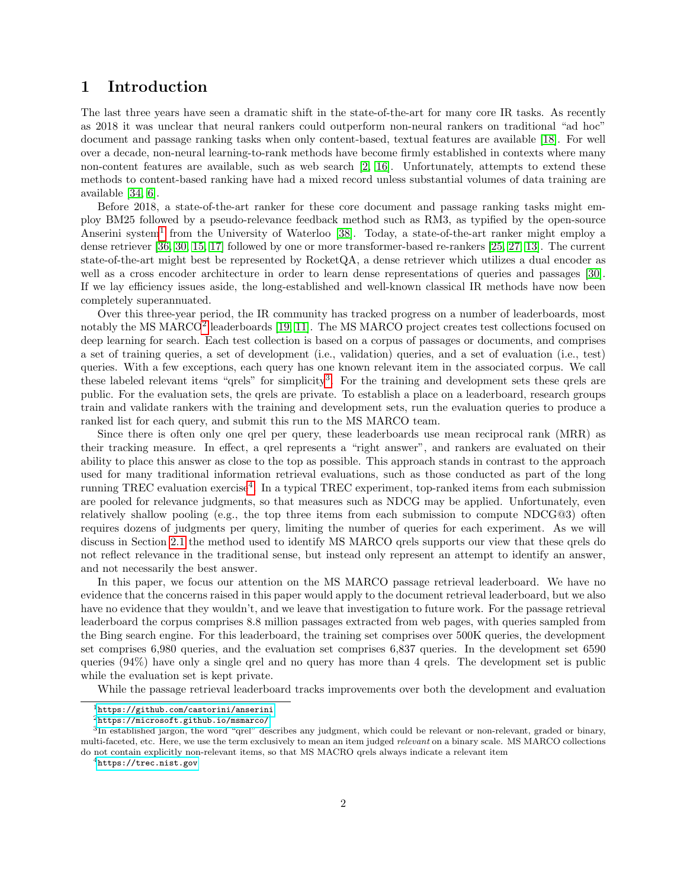## 1 Introduction

The last three years have seen a dramatic shift in the state-of-the-art for many core IR tasks. As recently as 2018 it was unclear that neural rankers could outperform non-neural rankers on traditional "ad hoc" document and passage ranking tasks when only content-based, textual features are available [\[18\]](#page-17-0). For well over a decade, non-neural learning-to-rank methods have become firmly established in contexts where many non-content features are available, such as web search [\[2,](#page-16-0) [16\]](#page-16-1). Unfortunately, attempts to extend these methods to content-based ranking have had a mixed record unless substantial volumes of data training are available [\[34,](#page-18-0) [6\]](#page-16-2).

Before 2018, a state-of-the-art ranker for these core document and passage ranking tasks might employ BM25 followed by a pseudo-relevance feedback method such as RM3, as typified by the open-source Anserini system<sup>[1](#page-1-0)</sup> from the University of Waterloo [\[38\]](#page-18-1). Today, a state-of-the-art ranker might employ a dense retriever [\[36,](#page-18-2) [30,](#page-17-1) [15,](#page-16-3) [17\]](#page-17-2) followed by one or more transformer-based re-rankers [\[25,](#page-17-3) [27,](#page-17-4) [13\]](#page-16-4). The current state-of-the-art might best be represented by RocketQA, a dense retriever which utilizes a dual encoder as well as a cross encoder architecture in order to learn dense representations of queries and passages [\[30\]](#page-17-1). If we lay efficiency issues aside, the long-established and well-known classical IR methods have now been completely superannuated.

Over this three-year period, the IR community has tracked progress on a number of leaderboards, most notably the MS MARCO<sup>[2](#page-1-1)</sup> leaderboards [\[19,](#page-17-5) [11\]](#page-16-5). The MS MARCO project creates test collections focused on deep learning for search. Each test collection is based on a corpus of passages or documents, and comprises a set of training queries, a set of development (i.e., validation) queries, and a set of evaluation (i.e., test) queries. With a few exceptions, each query has one known relevant item in the associated corpus. We call these labeled relevant items "qrels" for simplicity<sup>[3](#page-1-2)</sup>. For the training and development sets these qrels are public. For the evaluation sets, the qrels are private. To establish a place on a leaderboard, research groups train and validate rankers with the training and development sets, run the evaluation queries to produce a ranked list for each query, and submit this run to the MS MARCO team.

Since there is often only one qrel per query, these leaderboards use mean reciprocal rank (MRR) as their tracking measure. In effect, a qrel represents a "right answer", and rankers are evaluated on their ability to place this answer as close to the top as possible. This approach stands in contrast to the approach used for many traditional information retrieval evaluations, such as those conducted as part of the long running TREC evaluation exercise<sup>[4](#page-1-3)</sup>. In a typical TREC experiment, top-ranked items from each submission are pooled for relevance judgments, so that measures such as NDCG may be applied. Unfortunately, even relatively shallow pooling (e.g., the top three items from each submission to compute  $NDCG@3$ ) often requires dozens of judgments per query, limiting the number of queries for each experiment. As we will discuss in Section [2.1](#page-2-0) the method used to identify MS MARCO qrels supports our view that these qrels do not reflect relevance in the traditional sense, but instead only represent an attempt to identify an answer, and not necessarily the best answer.

In this paper, we focus our attention on the MS MARCO passage retrieval leaderboard. We have no evidence that the concerns raised in this paper would apply to the document retrieval leaderboard, but we also have no evidence that they wouldn't, and we leave that investigation to future work. For the passage retrieval leaderboard the corpus comprises 8.8 million passages extracted from web pages, with queries sampled from the Bing search engine. For this leaderboard, the training set comprises over 500K queries, the development set comprises 6,980 queries, and the evaluation set comprises 6,837 queries. In the development set 6590 queries (94%) have only a single qrel and no query has more than 4 qrels. The development set is public while the evaluation set is kept private.

While the passage retrieval leaderboard tracks improvements over both the development and evaluation

<span id="page-1-0"></span> $^{\rm l}$ <https://github.com/castorini/anserini>

<span id="page-1-2"></span><span id="page-1-1"></span> $^{2}$ <https://microsoft.github.io/msmarco/>

<sup>&</sup>lt;sup>3</sup>In established jargon, the word "qrel" describes any judgment, which could be relevant or non-relevant, graded or binary, multi-faceted, etc. Here, we use the term exclusively to mean an item judged relevant on a binary scale. MS MARCO collections do not contain explicitly non-relevant items, so that MS MACRO qrels always indicate a relevant item

<span id="page-1-3"></span> $4$ <https://trec.nist.gov>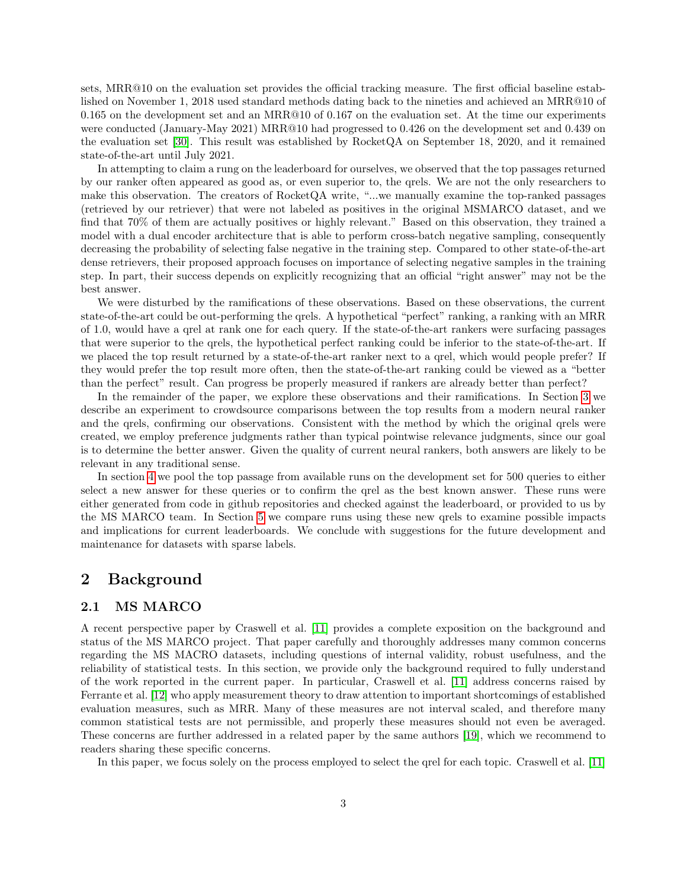sets, MRR@10 on the evaluation set provides the official tracking measure. The first official baseline established on November 1, 2018 used standard methods dating back to the nineties and achieved an MRR@10 of 0.165 on the development set and an MRR@10 of 0.167 on the evaluation set. At the time our experiments were conducted (January-May 2021) MRR@10 had progressed to 0.426 on the development set and 0.439 on the evaluation set [\[30\]](#page-17-1). This result was established by RocketQA on September 18, 2020, and it remained state-of-the-art until July 2021.

In attempting to claim a rung on the leaderboard for ourselves, we observed that the top passages returned by our ranker often appeared as good as, or even superior to, the qrels. We are not the only researchers to make this observation. The creators of RocketQA write, "...we manually examine the top-ranked passages (retrieved by our retriever) that were not labeled as positives in the original MSMARCO dataset, and we find that 70% of them are actually positives or highly relevant." Based on this observation, they trained a model with a dual encoder architecture that is able to perform cross-batch negative sampling, consequently decreasing the probability of selecting false negative in the training step. Compared to other state-of-the-art dense retrievers, their proposed approach focuses on importance of selecting negative samples in the training step. In part, their success depends on explicitly recognizing that an official "right answer" may not be the best answer.

We were disturbed by the ramifications of these observations. Based on these observations, the current state-of-the-art could be out-performing the qrels. A hypothetical "perfect" ranking, a ranking with an MRR of 1.0, would have a qrel at rank one for each query. If the state-of-the-art rankers were surfacing passages that were superior to the qrels, the hypothetical perfect ranking could be inferior to the state-of-the-art. If we placed the top result returned by a state-of-the-art ranker next to a qrel, which would people prefer? If they would prefer the top result more often, then the state-of-the-art ranking could be viewed as a "better than the perfect" result. Can progress be properly measured if rankers are already better than perfect?

In the remainder of the paper, we explore these observations and their ramifications. In Section [3](#page-5-0) we describe an experiment to crowdsource comparisons between the top results from a modern neural ranker and the qrels, confirming our observations. Consistent with the method by which the original qrels were created, we employ preference judgments rather than typical pointwise relevance judgments, since our goal is to determine the better answer. Given the quality of current neural rankers, both answers are likely to be relevant in any traditional sense.

In section [4](#page-8-0) we pool the top passage from available runs on the development set for 500 queries to either select a new answer for these queries or to confirm the qrel as the best known answer. These runs were either generated from code in github repositories and checked against the leaderboard, or provided to us by the MS MARCO team. In Section [5](#page-12-0) we compare runs using these new qrels to examine possible impacts and implications for current leaderboards. We conclude with suggestions for the future development and maintenance for datasets with sparse labels.

## 2 Background

## <span id="page-2-0"></span>2.1 MS MARCO

A recent perspective paper by Craswell et al. [\[11\]](#page-16-5) provides a complete exposition on the background and status of the MS MARCO project. That paper carefully and thoroughly addresses many common concerns regarding the MS MACRO datasets, including questions of internal validity, robust usefulness, and the reliability of statistical tests. In this section, we provide only the background required to fully understand of the work reported in the current paper. In particular, Craswell et al. [\[11\]](#page-16-5) address concerns raised by Ferrante et al. [\[12\]](#page-16-6) who apply measurement theory to draw attention to important shortcomings of established evaluation measures, such as MRR. Many of these measures are not interval scaled, and therefore many common statistical tests are not permissible, and properly these measures should not even be averaged. These concerns are further addressed in a related paper by the same authors [\[19\]](#page-17-5), which we recommend to readers sharing these specific concerns.

In this paper, we focus solely on the process employed to select the qrel for each topic. Craswell et al. [\[11\]](#page-16-5)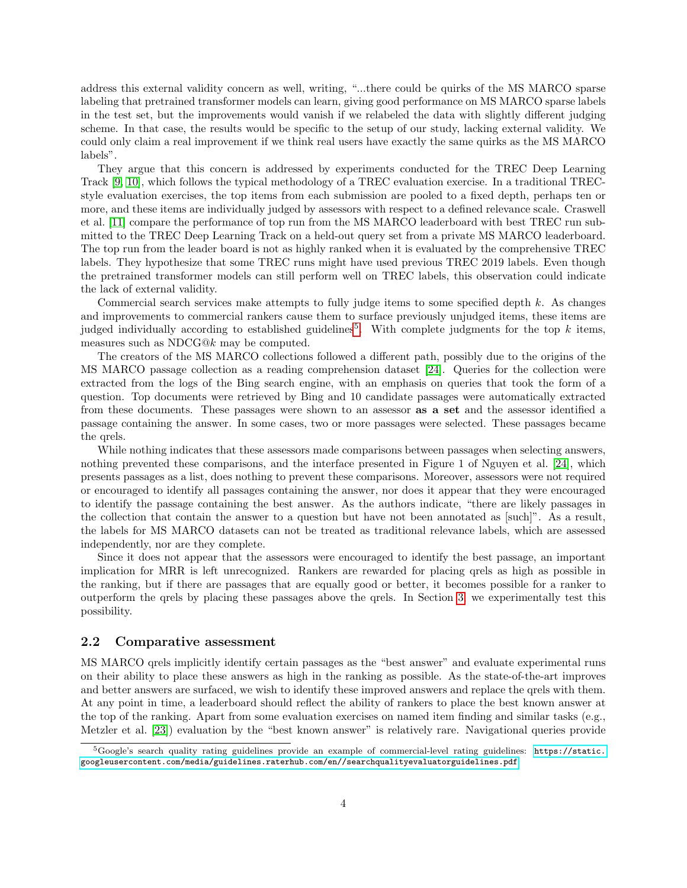address this external validity concern as well, writing, "...there could be quirks of the MS MARCO sparse labeling that pretrained transformer models can learn, giving good performance on MS MARCO sparse labels in the test set, but the improvements would vanish if we relabeled the data with slightly different judging scheme. In that case, the results would be specific to the setup of our study, lacking external validity. We could only claim a real improvement if we think real users have exactly the same quirks as the MS MARCO labels".

They argue that this concern is addressed by experiments conducted for the TREC Deep Learning Track [\[9,](#page-16-7) [10\]](#page-16-8), which follows the typical methodology of a TREC evaluation exercise. In a traditional TRECstyle evaluation exercises, the top items from each submission are pooled to a fixed depth, perhaps ten or more, and these items are individually judged by assessors with respect to a defined relevance scale. Craswell et al. [\[11\]](#page-16-5) compare the performance of top run from the MS MARCO leaderboard with best TREC run submitted to the TREC Deep Learning Track on a held-out query set from a private MS MARCO leaderboard. The top run from the leader board is not as highly ranked when it is evaluated by the comprehensive TREC labels. They hypothesize that some TREC runs might have used previous TREC 2019 labels. Even though the pretrained transformer models can still perform well on TREC labels, this observation could indicate the lack of external validity.

Commercial search services make attempts to fully judge items to some specified depth  $k$ . As changes and improvements to commercial rankers cause them to surface previously unjudged items, these items are judged individually according to established guidelines<sup>[5](#page-3-0)</sup>. With complete judgments for the top  $k$  items, measures such as NDCG@k may be computed.

The creators of the MS MARCO collections followed a different path, possibly due to the origins of the MS MARCO passage collection as a reading comprehension dataset [\[24\]](#page-17-6). Queries for the collection were extracted from the logs of the Bing search engine, with an emphasis on queries that took the form of a question. Top documents were retrieved by Bing and 10 candidate passages were automatically extracted from these documents. These passages were shown to an assessor as a set and the assessor identified a passage containing the answer. In some cases, two or more passages were selected. These passages became the qrels.

While nothing indicates that these assessors made comparisons between passages when selecting answers, nothing prevented these comparisons, and the interface presented in Figure 1 of Nguyen et al. [\[24\]](#page-17-6), which presents passages as a list, does nothing to prevent these comparisons. Moreover, assessors were not required or encouraged to identify all passages containing the answer, nor does it appear that they were encouraged to identify the passage containing the best answer. As the authors indicate, "there are likely passages in the collection that contain the answer to a question but have not been annotated as [such]". As a result, the labels for MS MARCO datasets can not be treated as traditional relevance labels, which are assessed independently, nor are they complete.

Since it does not appear that the assessors were encouraged to identify the best passage, an important implication for MRR is left unrecognized. Rankers are rewarded for placing qrels as high as possible in the ranking, but if there are passages that are equally good or better, it becomes possible for a ranker to outperform the qrels by placing these passages above the qrels. In Section [3,](#page-5-0) we experimentally test this possibility.

#### 2.2 Comparative assessment

MS MARCO qrels implicitly identify certain passages as the "best answer" and evaluate experimental runs on their ability to place these answers as high in the ranking as possible. As the state-of-the-art improves and better answers are surfaced, we wish to identify these improved answers and replace the qrels with them. At any point in time, a leaderboard should reflect the ability of rankers to place the best known answer at the top of the ranking. Apart from some evaluation exercises on named item finding and similar tasks (e.g., Metzler et al. [\[23\]](#page-17-7)) evaluation by the "best known answer" is relatively rare. Navigational queries provide

<span id="page-3-0"></span> $5$ Google's search quality rating guidelines provide an example of commercial-level rating guidelines: [https://static.](https://static.googleusercontent.com/media/guidelines.raterhub.com/en//searchqualityevaluatorguidelines.pdf) [googleusercontent.com/media/guidelines.raterhub.com/en//searchqualityevaluatorguidelines.pdf](https://static.googleusercontent.com/media/guidelines.raterhub.com/en//searchqualityevaluatorguidelines.pdf)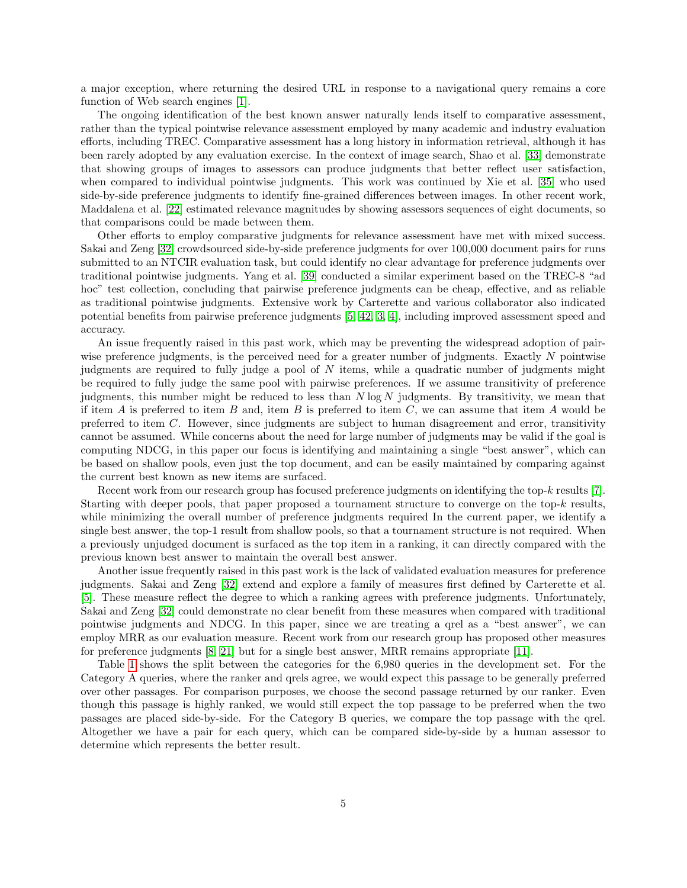a major exception, where returning the desired URL in response to a navigational query remains a core function of Web search engines [\[1\]](#page-16-9).

The ongoing identification of the best known answer naturally lends itself to comparative assessment, rather than the typical pointwise relevance assessment employed by many academic and industry evaluation efforts, including TREC. Comparative assessment has a long history in information retrieval, although it has been rarely adopted by any evaluation exercise. In the context of image search, Shao et al. [\[33\]](#page-17-8) demonstrate that showing groups of images to assessors can produce judgments that better reflect user satisfaction, when compared to individual pointwise judgments. This work was continued by Xie et al. [\[35\]](#page-18-3) who used side-by-side preference judgments to identify fine-grained differences between images. In other recent work, Maddalena et al. [\[22\]](#page-17-9) estimated relevance magnitudes by showing assessors sequences of eight documents, so that comparisons could be made between them.

Other efforts to employ comparative judgments for relevance assessment have met with mixed success. Sakai and Zeng [\[32\]](#page-17-10) crowdsourced side-by-side preference judgments for over 100,000 document pairs for runs submitted to an NTCIR evaluation task, but could identify no clear advantage for preference judgments over traditional pointwise judgments. Yang et al. [\[39\]](#page-18-4) conducted a similar experiment based on the TREC-8 "ad hoc" test collection, concluding that pairwise preference judgments can be cheap, effective, and as reliable as traditional pointwise judgments. Extensive work by Carterette and various collaborator also indicated potential benefits from pairwise preference judgments [\[5,](#page-16-10) [42,](#page-18-5) [3,](#page-16-11) [4\]](#page-16-12), including improved assessment speed and accuracy.

An issue frequently raised in this past work, which may be preventing the widespread adoption of pairwise preference judgments, is the perceived need for a greater number of judgments. Exactly N pointwise judgments are required to fully judge a pool of  $N$  items, while a quadratic number of judgments might be required to fully judge the same pool with pairwise preferences. If we assume transitivity of preference judgments, this number might be reduced to less than  $N \log N$  judgments. By transitivity, we mean that if item A is preferred to item B and, item B is preferred to item C, we can assume that item A would be preferred to item C. However, since judgments are subject to human disagreement and error, transitivity cannot be assumed. While concerns about the need for large number of judgments may be valid if the goal is computing NDCG, in this paper our focus is identifying and maintaining a single "best answer", which can be based on shallow pools, even just the top document, and can be easily maintained by comparing against the current best known as new items are surfaced.

Recent work from our research group has focused preference judgments on identifying the top- $k$  results [\[7\]](#page-16-13). Starting with deeper pools, that paper proposed a tournament structure to converge on the top- $k$  results, while minimizing the overall number of preference judgments required In the current paper, we identify a single best answer, the top-1 result from shallow pools, so that a tournament structure is not required. When a previously unjudged document is surfaced as the top item in a ranking, it can directly compared with the previous known best answer to maintain the overall best answer.

Another issue frequently raised in this past work is the lack of validated evaluation measures for preference judgments. Sakai and Zeng [\[32\]](#page-17-10) extend and explore a family of measures first defined by Carterette et al. [\[5\]](#page-16-10). These measure reflect the degree to which a ranking agrees with preference judgments. Unfortunately, Sakai and Zeng [\[32\]](#page-17-10) could demonstrate no clear benefit from these measures when compared with traditional pointwise judgments and NDCG. In this paper, since we are treating a qrel as a "best answer", we can employ MRR as our evaluation measure. Recent work from our research group has proposed other measures for preference judgments [\[8,](#page-16-14) [21\]](#page-17-11) but for a single best answer, MRR remains appropriate [\[11\]](#page-16-5).

Table [1](#page-5-1) shows the split between the categories for the 6,980 queries in the development set. For the Category A queries, where the ranker and qrels agree, we would expect this passage to be generally preferred over other passages. For comparison purposes, we choose the second passage returned by our ranker. Even though this passage is highly ranked, we would still expect the top passage to be preferred when the two passages are placed side-by-side. For the Category B queries, we compare the top passage with the qrel. Altogether we have a pair for each query, which can be compared side-by-side by a human assessor to determine which represents the better result.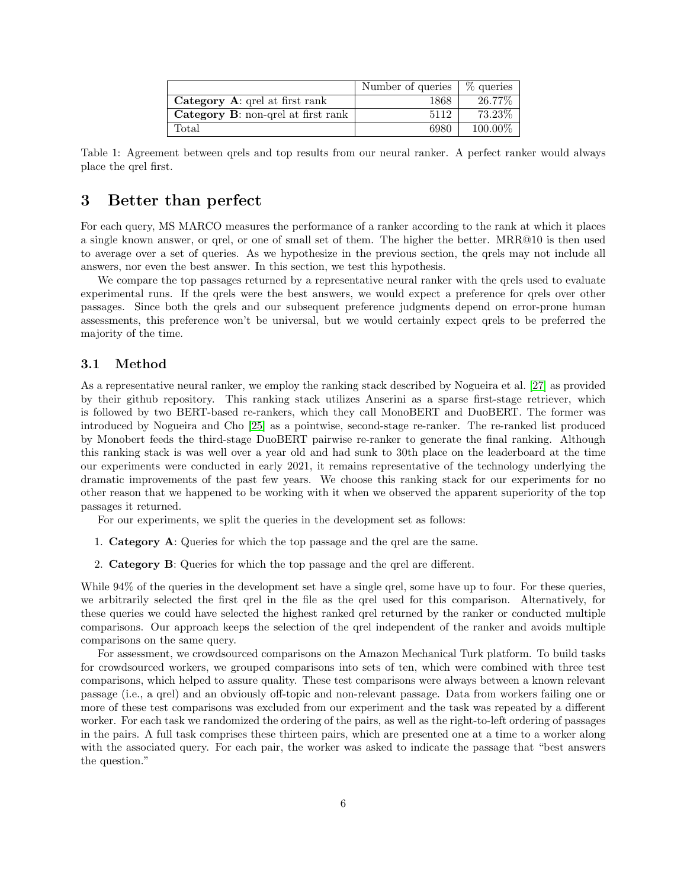|                                    | Number of queries | $\%$ queries |
|------------------------------------|-------------------|--------------|
| Category A: qrel at first rank     | 1868              | 26.77\%      |
| Category B: non-qrel at first rank | 5112              | 73.23%       |
| Total                              | 6980              | $100.00\%$   |

<span id="page-5-1"></span>Table 1: Agreement between qrels and top results from our neural ranker. A perfect ranker would always place the qrel first.

## <span id="page-5-0"></span>3 Better than perfect

For each query, MS MARCO measures the performance of a ranker according to the rank at which it places a single known answer, or qrel, or one of small set of them. The higher the better. MRR@10 is then used to average over a set of queries. As we hypothesize in the previous section, the qrels may not include all answers, nor even the best answer. In this section, we test this hypothesis.

We compare the top passages returned by a representative neural ranker with the qrels used to evaluate experimental runs. If the qrels were the best answers, we would expect a preference for qrels over other passages. Since both the qrels and our subsequent preference judgments depend on error-prone human assessments, this preference won't be universal, but we would certainly expect qrels to be preferred the majority of the time.

## 3.1 Method

As a representative neural ranker, we employ the ranking stack described by Nogueira et al. [\[27\]](#page-17-4) as provided by their github repository. This ranking stack utilizes Anserini as a sparse first-stage retriever, which is followed by two BERT-based re-rankers, which they call MonoBERT and DuoBERT. The former was introduced by Nogueira and Cho [\[25\]](#page-17-3) as a pointwise, second-stage re-ranker. The re-ranked list produced by Monobert feeds the third-stage DuoBERT pairwise re-ranker to generate the final ranking. Although this ranking stack is was well over a year old and had sunk to 30th place on the leaderboard at the time our experiments were conducted in early 2021, it remains representative of the technology underlying the dramatic improvements of the past few years. We choose this ranking stack for our experiments for no other reason that we happened to be working with it when we observed the apparent superiority of the top passages it returned.

For our experiments, we split the queries in the development set as follows:

- 1. Category A: Queries for which the top passage and the qrel are the same.
- 2. Category B: Queries for which the top passage and the qrel are different.

While 94% of the queries in the development set have a single qrel, some have up to four. For these queries, we arbitrarily selected the first qrel in the file as the qrel used for this comparison. Alternatively, for these queries we could have selected the highest ranked qrel returned by the ranker or conducted multiple comparisons. Our approach keeps the selection of the qrel independent of the ranker and avoids multiple comparisons on the same query.

For assessment, we crowdsourced comparisons on the Amazon Mechanical Turk platform. To build tasks for crowdsourced workers, we grouped comparisons into sets of ten, which were combined with three test comparisons, which helped to assure quality. These test comparisons were always between a known relevant passage (i.e., a qrel) and an obviously off-topic and non-relevant passage. Data from workers failing one or more of these test comparisons was excluded from our experiment and the task was repeated by a different worker. For each task we randomized the ordering of the pairs, as well as the right-to-left ordering of passages in the pairs. A full task comprises these thirteen pairs, which are presented one at a time to a worker along with the associated query. For each pair, the worker was asked to indicate the passage that "best answers" the question."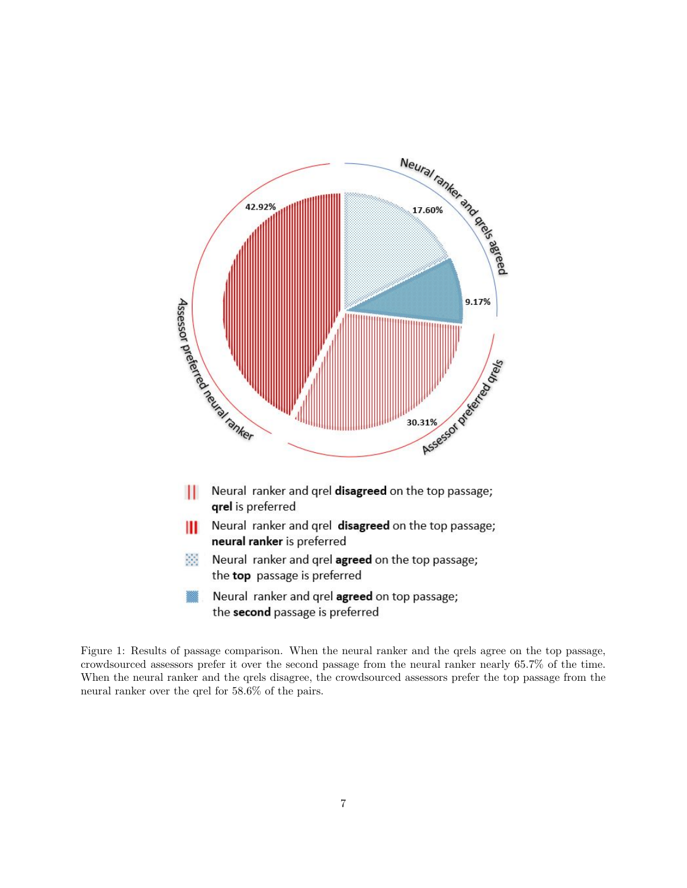

<span id="page-6-0"></span>Figure 1: Results of passage comparison. When the neural ranker and the qrels agree on the top passage, crowdsourced assessors prefer it over the second passage from the neural ranker nearly 65.7% of the time. When the neural ranker and the qrels disagree, the crowdsourced assessors prefer the top passage from the neural ranker over the qrel for 58.6% of the pairs.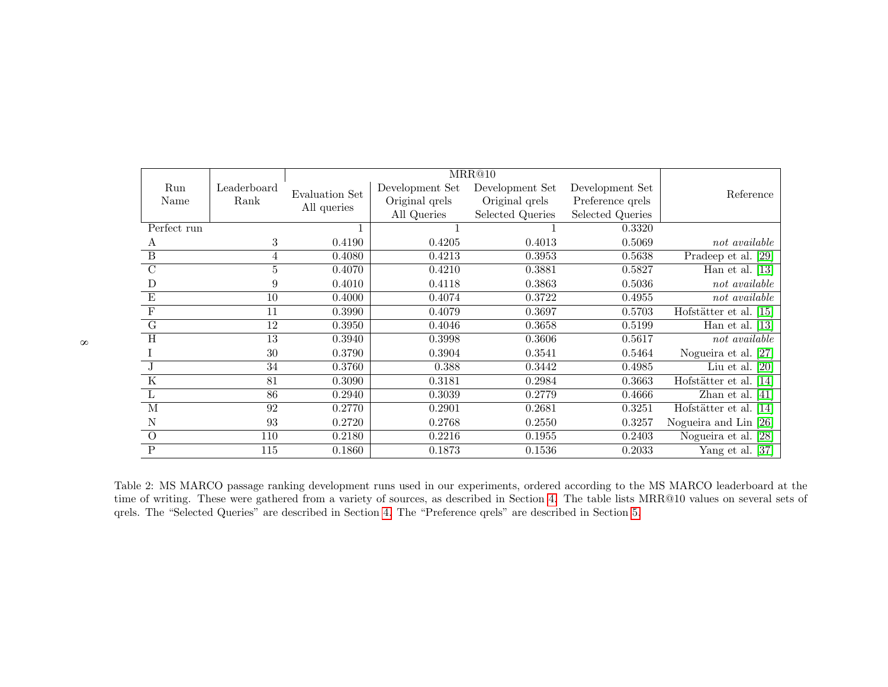<span id="page-7-0"></span>

| Run                     | Leaderboard | Evaluation Set<br>All queries | Development Set | Development Set         | Development Set  | Reference              |  |  |
|-------------------------|-------------|-------------------------------|-----------------|-------------------------|------------------|------------------------|--|--|
| Name                    | Rank        |                               | Original qrels  | Original qrels          | Preference qrels |                        |  |  |
|                         |             |                               | All Queries     | <b>Selected Queries</b> | Selected Queries |                        |  |  |
| Perfect run             |             |                               |                 |                         | 0.3320           |                        |  |  |
| А                       | 3           | 0.4190                        | 0.4205          | 0.4013                  | 0.5069           | $not\ available$       |  |  |
| B                       | 4           | 0.4080                        | 0.4213          | 0.3953                  | 0.5638           | Pradeep et al. [29]    |  |  |
| $\overline{C}$          | 5           | 0.4070                        | 0.4210          | 0.3881                  | 0.5827           | Han et al. $[13]$      |  |  |
| D                       | 9           | 0.4010                        | 0.4118          | 0.3863                  | 0.5036           | not available          |  |  |
| E                       | 10          | 0.4000                        | 0.4074          | 0.3722                  | 0.4955           | $not\ available$       |  |  |
| ${\bf F}$               | 11          | 0.3990                        | 0.4079          | 0.3697                  | 0.5703           | Hofstätter et al. [15] |  |  |
| $\overline{G}$          | 12          | 0.3950                        | 0.4046          | 0.3658                  | 0.5199           | Han et al. $[13]$      |  |  |
| $\overline{\mathrm{H}}$ | 13          | 0.3940                        | 0.3998          | 0.3606                  | 0.5617           | not available          |  |  |
|                         | 30          | 0.3790                        | 0.3904          | 0.3541                  | 0.5464           | Nogueira et al. [27]   |  |  |
| J                       | 34          | 0.3760                        | 0.388           | 0.3442                  | 0.4985           | Liu et al. $[20]$      |  |  |
| $\overline{\mathrm{K}}$ | 81          | 0.3090                        | 0.3181          | 0.2984                  | 0.3663           | Hofstätter et al. [14] |  |  |
| L                       | 86          | 0.2940                        | 0.3039          | 0.2779                  | 0.4666           | Zhan et al. $[41]$     |  |  |
| M                       | 92          | 0.2770                        | 0.2901          | 0.2681                  | 0.3251           | Hofstätter et al. [14] |  |  |
| N                       | 93          | 0.2720                        | 0.2768          | 0.2550                  | 0.3257           | Nogueira and Lin [26]  |  |  |
| $\Omega$                | 110         | 0.2180                        | 0.2216          | 0.1955                  | 0.2403           | Nogueira et al. [28]   |  |  |
| $\mathbf{P}$            | 115         | 0.1860                        | 0.1873          | 0.1536                  | 0.2033           | Yang et al. [37]       |  |  |

Table 2: MS MARCO passage ranking development runs used in our experiments, ordered according to the MS MARCO leaderboard at the time of writing. These were gathered from <sup>a</sup> variety of sources, as described in Section [4.](#page-8-1) The table lists MRR@10 values on several sets ofqrels. The "Selected Queries" are described in Section [4.](#page-8-1) The "Preference qrels" are described in Section [5.](#page-12-1)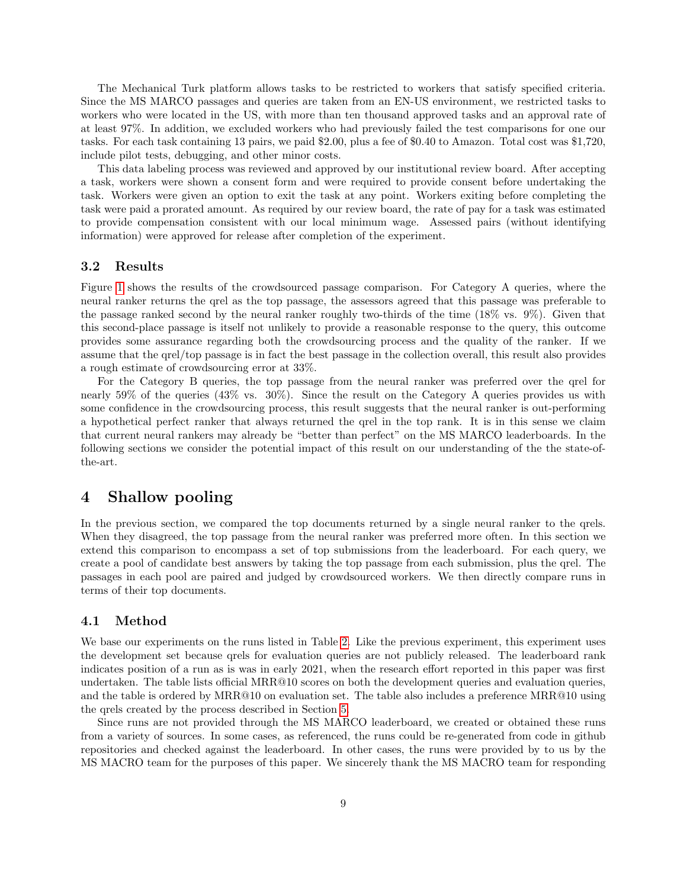<span id="page-8-1"></span>The Mechanical Turk platform allows tasks to be restricted to workers that satisfy specified criteria. Since the MS MARCO passages and queries are taken from an EN-US environment, we restricted tasks to workers who were located in the US, with more than ten thousand approved tasks and an approval rate of at least 97%. In addition, we excluded workers who had previously failed the test comparisons for one our tasks. For each task containing 13 pairs, we paid \$2.00, plus a fee of \$0.40 to Amazon. Total cost was \$1,720, include pilot tests, debugging, and other minor costs.

This data labeling process was reviewed and approved by our institutional review board. After accepting a task, workers were shown a consent form and were required to provide consent before undertaking the task. Workers were given an option to exit the task at any point. Workers exiting before completing the task were paid a prorated amount. As required by our review board, the rate of pay for a task was estimated to provide compensation consistent with our local minimum wage. Assessed pairs (without identifying information) were approved for release after completion of the experiment.

### 3.2 Results

Figure [1](#page-6-0) shows the results of the crowdsourced passage comparison. For Category A queries, where the neural ranker returns the qrel as the top passage, the assessors agreed that this passage was preferable to the passage ranked second by the neural ranker roughly two-thirds of the time (18% vs. 9%). Given that this second-place passage is itself not unlikely to provide a reasonable response to the query, this outcome provides some assurance regarding both the crowdsourcing process and the quality of the ranker. If we assume that the qrel/top passage is in fact the best passage in the collection overall, this result also provides a rough estimate of crowdsourcing error at 33%.

For the Category B queries, the top passage from the neural ranker was preferred over the qrel for nearly 59% of the queries (43% vs. 30%). Since the result on the Category A queries provides us with some confidence in the crowdsourcing process, this result suggests that the neural ranker is out-performing a hypothetical perfect ranker that always returned the qrel in the top rank. It is in this sense we claim that current neural rankers may already be "better than perfect" on the MS MARCO leaderboards. In the following sections we consider the potential impact of this result on our understanding of the the state-ofthe-art.

## <span id="page-8-0"></span>4 Shallow pooling

In the previous section, we compared the top documents returned by a single neural ranker to the qrels. When they disagreed, the top passage from the neural ranker was preferred more often. In this section we extend this comparison to encompass a set of top submissions from the leaderboard. For each query, we create a pool of candidate best answers by taking the top passage from each submission, plus the qrel. The passages in each pool are paired and judged by crowdsourced workers. We then directly compare runs in terms of their top documents.

## 4.1 Method

We base our experiments on the runs listed in Table [2.](#page-7-0) Like the previous experiment, this experiment uses the development set because qrels for evaluation queries are not publicly released. The leaderboard rank indicates position of a run as is was in early 2021, when the research effort reported in this paper was first undertaken. The table lists official MRR@10 scores on both the development queries and evaluation queries, and the table is ordered by MRR@10 on evaluation set. The table also includes a preference MRR@10 using the qrels created by the process described in Section [5.](#page-12-0)

Since runs are not provided through the MS MARCO leaderboard, we created or obtained these runs from a variety of sources. In some cases, as referenced, the runs could be re-generated from code in github repositories and checked against the leaderboard. In other cases, the runs were provided by to us by the MS MACRO team for the purposes of this paper. We sincerely thank the MS MACRO team for responding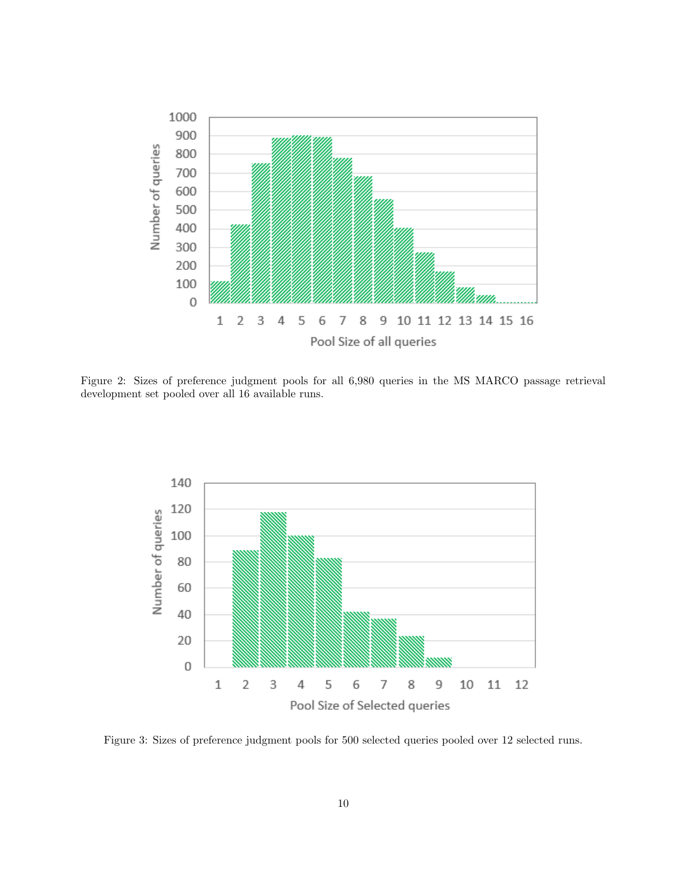

<span id="page-9-0"></span>Figure 2: Sizes of preference judgment pools for all 6,980 queries in the MS MARCO passage retrieval development set pooled over all 16 available runs.



<span id="page-9-1"></span>Figure 3: Sizes of preference judgment pools for 500 selected queries pooled over 12 selected runs.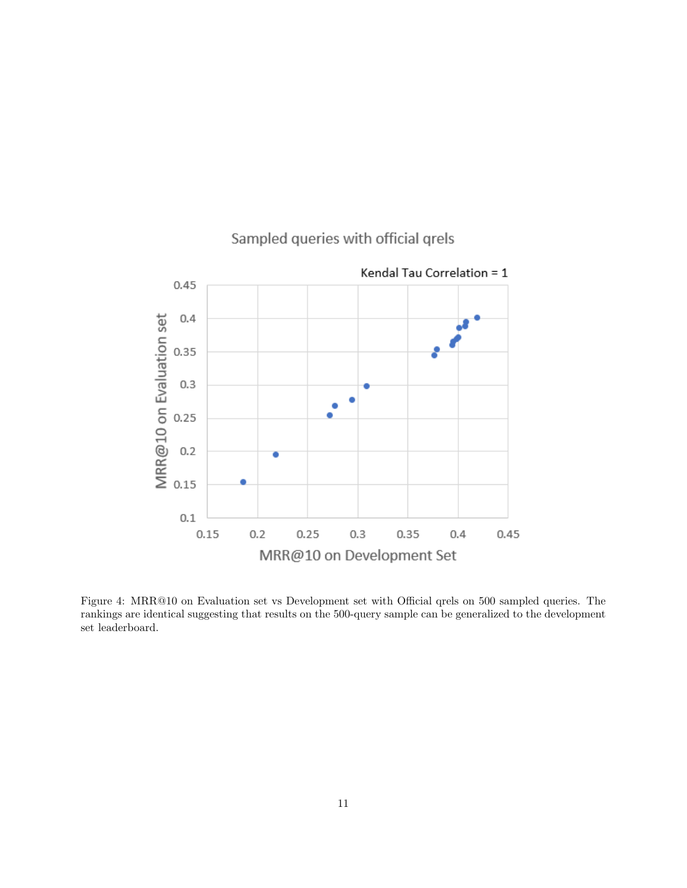

# Sampled queries with official grels

<span id="page-10-0"></span>Figure 4: MRR@10 on Evaluation set vs Development set with Official qrels on 500 sampled queries. The rankings are identical suggesting that results on the 500-query sample can be generalized to the development set leaderboard.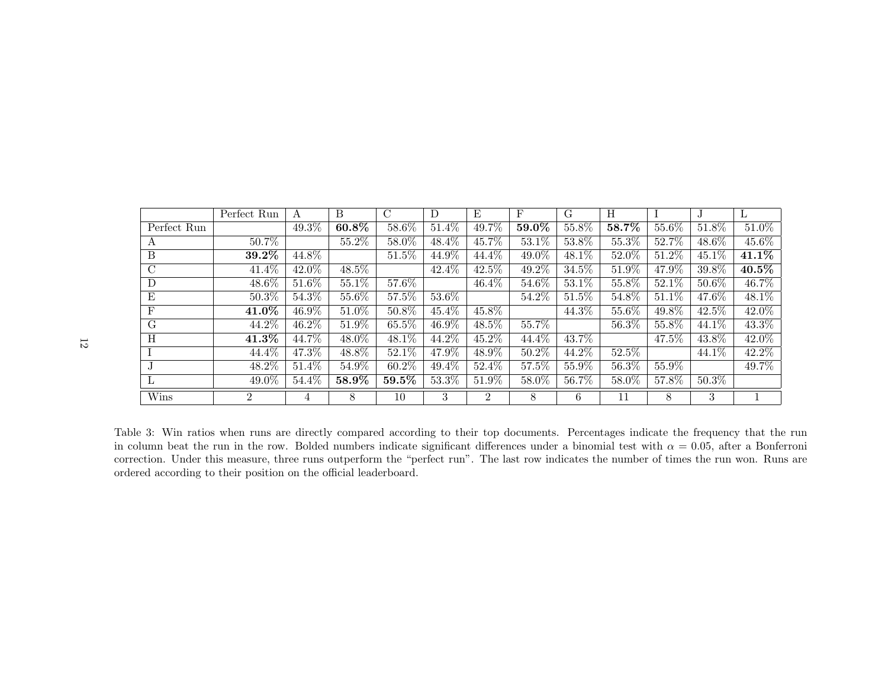<span id="page-11-0"></span>

|                | Perfect Run    | А        | B        | $\mathcal{C}$ | D        | E              | $_{\rm F}$ | G                   | H        |          | J.       | $\mathbf{L}$ |
|----------------|----------------|----------|----------|---------------|----------|----------------|------------|---------------------|----------|----------|----------|--------------|
| Perfect Run    |                | $49.3\%$ | $60.8\%$ | 58.6%         | $51.4\%$ | 49.7%          | 59.0%      | 55.8%               | 58.7%    | 55.6%    | 51.8%    | $51.0\%$     |
| А              | 50.7%          |          | $55.2\%$ | 58.0%         | $48.4\%$ | 45.7%          | 53.1%      | 53.8%               | 55.3%    | 52.7%    | 48.6%    | $45.6\%$     |
| B              | $39.2\%$       | 44.8%    |          | $51.5\%$      | 44.9%    | 44.4%          | 49.0%      | 48.1\%              | 52.0%    | 51.2%    | $45.1\%$ | 41.1\%       |
| $\overline{C}$ | 41.4%          | 42.0%    | 48.5%    |               | 42.4%    | 42.5%          | 49.2%      | 34.5%               | 51.9%    | 47.9%    | 39.8%    | 40.5%        |
| D              | 48.6%          | $51.6\%$ | 55.1%    | 57.6%         |          | $46.4\%$       | 54.6%      | 53.1%               | 55.8%    | $52.1\%$ | $50.6\%$ | 46.7%        |
| E              | 50.3%          | 54.3%    | 55.6%    | 57.5%         | 53.6%    |                | 54.2%      | 51.5%               | 54.8%    | $51.1\%$ | 47.6%    | 48.1%        |
| $\mathbf{F}$   | $41.0\%$       | 46.9%    | 51.0%    | $50.8\%$      | $45.4\%$ | 45.8%          |            | 44.3%               | 55.6%    | 49.8%    | 42.5%    | 42.0%        |
| G              | 44.2%          | 46.2%    | 51.9%    | 65.5%         | 46.9%    | 48.5%          | $55.7\%$   |                     | 56.3%    | 55.8%    | 44.1\%   | $43.3\%$     |
| H              | $41.3\%$       | 44.7%    | $48.0\%$ | 48.1%         | 44.2%    | $45.2\%$       | 44.4%      | 43.7%               |          | 47.5%    | 43.8%    | 42.0%        |
|                | 44.4%          | 47.3%    | 48.8%    | 52.1%         | 47.9%    | 48.9%          | 50.2%      | 44.2%               | 52.5%    |          | 44.1\%   | 42.2%        |
| J              | 48.2%          | $51.4\%$ | 54.9%    | $60.2\%$      | $49.4\%$ | $52.4\%$       | 57.5%      | 55.9%               | $56.3\%$ | 55.9%    |          | 49.7%        |
| ⊥              | 49.0%          | 54.4%    | 58.9%    | $59.5\%$      | 53.3%    | $51.9\%$       | 58.0%      | $56.\overline{7\%}$ | 58.0%    | 57.8%    | $50.3\%$ |              |
| Wins           | $\overline{2}$ | 4        | 8        | 10            | 3        | $\overline{2}$ | 8          | 6                   | 11       | 8        | 3        |              |

Table 3: Win ratios when runs are directly compared according to their top documents. Percentages indicate the frequency that the runin column beat the run in the row. Bolded numbers indicate significant differences under a binomial test with  $\alpha = 0.05$ , after a Bonferroni correction. Under this measure, three runs outperform the "perfect run". The last row indicates the number of times the run won. Runs areordered according to their position on the official leaderboard.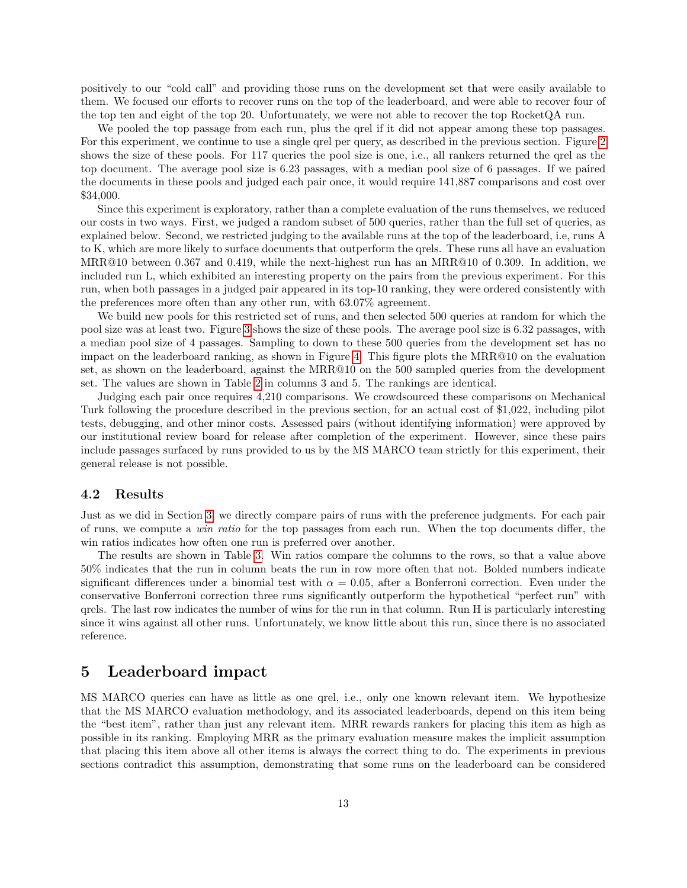<span id="page-12-1"></span>positively to our "cold call" and providing those runs on the development set that were easily available to them. We focused our efforts to recover runs on the top of the leaderboard, and were able to recover four of the top ten and eight of the top 20. Unfortunately, we were not able to recover the top RocketQA run.

We pooled the top passage from each run, plus the qrel if it did not appear among these top passages. For this experiment, we continue to use a single qrel per query, as described in the previous section. Figure [2](#page-9-0) shows the size of these pools. For 117 queries the pool size is one, i.e., all rankers returned the qrel as the top document. The average pool size is 6.23 passages, with a median pool size of 6 passages. If we paired the documents in these pools and judged each pair once, it would require 141,887 comparisons and cost over \$34,000.

Since this experiment is exploratory, rather than a complete evaluation of the runs themselves, we reduced our costs in two ways. First, we judged a random subset of 500 queries, rather than the full set of queries, as explained below. Second, we restricted judging to the available runs at the top of the leaderboard, i.e, runs A to K, which are more likely to surface documents that outperform the qrels. These runs all have an evaluation MRR@10 between 0.367 and 0.419, while the next-highest run has an MRR@10 of 0.309. In addition, we included run L, which exhibited an interesting property on the pairs from the previous experiment. For this run, when both passages in a judged pair appeared in its top-10 ranking, they were ordered consistently with the preferences more often than any other run, with 63.07% agreement.

We build new pools for this restricted set of runs, and then selected 500 queries at random for which the pool size was at least two. Figure [3](#page-9-1) shows the size of these pools. The average pool size is 6.32 passages, with a median pool size of 4 passages. Sampling to down to these 500 queries from the development set has no impact on the leaderboard ranking, as shown in Figure [4.](#page-10-0) This figure plots the MRR@10 on the evaluation set, as shown on the leaderboard, against the MRR@10 on the 500 sampled queries from the development set. The values are shown in Table [2](#page-7-0) in columns 3 and 5. The rankings are identical.

Judging each pair once requires 4,210 comparisons. We crowdsourced these comparisons on Mechanical Turk following the procedure described in the previous section, for an actual cost of \$1,022, including pilot tests, debugging, and other minor costs. Assessed pairs (without identifying information) were approved by our institutional review board for release after completion of the experiment. However, since these pairs include passages surfaced by runs provided to us by the MS MARCO team strictly for this experiment, their general release is not possible.

#### 4.2 Results

Just as we did in Section [3,](#page-5-0) we directly compare pairs of runs with the preference judgments. For each pair of runs, we compute a win ratio for the top passages from each run. When the top documents differ, the win ratios indicates how often one run is preferred over another.

The results are shown in Table [3.](#page-11-0) Win ratios compare the columns to the rows, so that a value above 50% indicates that the run in column beats the run in row more often that not. Bolded numbers indicate significant differences under a binomial test with  $\alpha = 0.05$ , after a Bonferroni correction. Even under the conservative Bonferroni correction three runs significantly outperform the hypothetical "perfect run" with qrels. The last row indicates the number of wins for the run in that column. Run H is particularly interesting since it wins against all other runs. Unfortunately, we know little about this run, since there is no associated reference.

## <span id="page-12-0"></span>5 Leaderboard impact

MS MARCO queries can have as little as one qrel, i.e., only one known relevant item. We hypothesize that the MS MARCO evaluation methodology, and its associated leaderboards, depend on this item being the "best item", rather than just any relevant item. MRR rewards rankers for placing this item as high as possible in its ranking. Employing MRR as the primary evaluation measure makes the implicit assumption that placing this item above all other items is always the correct thing to do. The experiments in previous sections contradict this assumption, demonstrating that some runs on the leaderboard can be considered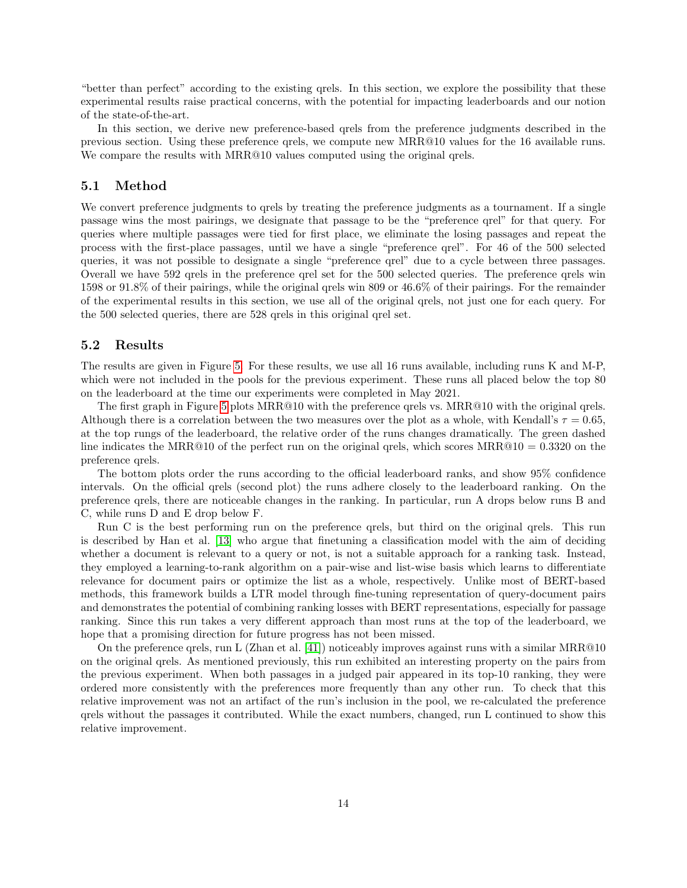"better than perfect" according to the existing qrels. In this section, we explore the possibility that these experimental results raise practical concerns, with the potential for impacting leaderboards and our notion of the state-of-the-art.

In this section, we derive new preference-based qrels from the preference judgments described in the previous section. Using these preference qrels, we compute new MRR@10 values for the 16 available runs. We compare the results with  $MRR@10$  values computed using the original qrels.

## 5.1 Method

We convert preference judgments to qrels by treating the preference judgments as a tournament. If a single passage wins the most pairings, we designate that passage to be the "preference qrel" for that query. For queries where multiple passages were tied for first place, we eliminate the losing passages and repeat the process with the first-place passages, until we have a single "preference qrel". For 46 of the 500 selected queries, it was not possible to designate a single "preference qrel" due to a cycle between three passages. Overall we have 592 qrels in the preference qrel set for the 500 selected queries. The preference qrels win 1598 or 91.8% of their pairings, while the original qrels win 809 or 46.6% of their pairings. For the remainder of the experimental results in this section, we use all of the original qrels, not just one for each query. For the 500 selected queries, there are 528 qrels in this original qrel set.

## 5.2 Results

The results are given in Figure [5.](#page-14-0) For these results, we use all 16 runs available, including runs K and M-P, which were not included in the pools for the previous experiment. These runs all placed below the top 80 on the leaderboard at the time our experiments were completed in May 2021.

The first graph in Figure [5](#page-14-0) plots MRR@10 with the preference qrels vs. MRR@10 with the original qrels. Although there is a correlation between the two measures over the plot as a whole, with Kendall's  $\tau = 0.65$ , at the top rungs of the leaderboard, the relative order of the runs changes dramatically. The green dashed line indicates the MRR@10 of the perfect run on the original qrels, which scores MRR@10 =  $0.3320$  on the preference qrels.

The bottom plots order the runs according to the official leaderboard ranks, and show 95% confidence intervals. On the official qrels (second plot) the runs adhere closely to the leaderboard ranking. On the preference qrels, there are noticeable changes in the ranking. In particular, run A drops below runs B and C, while runs D and E drop below F.

Run C is the best performing run on the preference qrels, but third on the original qrels. This run is described by Han et al. [\[13\]](#page-16-4) who argue that finetuning a classification model with the aim of deciding whether a document is relevant to a query or not, is not a suitable approach for a ranking task. Instead, they employed a learning-to-rank algorithm on a pair-wise and list-wise basis which learns to differentiate relevance for document pairs or optimize the list as a whole, respectively. Unlike most of BERT-based methods, this framework builds a LTR model through fine-tuning representation of query-document pairs and demonstrates the potential of combining ranking losses with BERT representations, especially for passage ranking. Since this run takes a very different approach than most runs at the top of the leaderboard, we hope that a promising direction for future progress has not been missed.

On the preference qrels, run L (Zhan et al. [\[41\]](#page-18-8)) noticeably improves against runs with a similar MRR@10 on the original qrels. As mentioned previously, this run exhibited an interesting property on the pairs from the previous experiment. When both passages in a judged pair appeared in its top-10 ranking, they were ordered more consistently with the preferences more frequently than any other run. To check that this relative improvement was not an artifact of the run's inclusion in the pool, we re-calculated the preference qrels without the passages it contributed. While the exact numbers, changed, run L continued to show this relative improvement.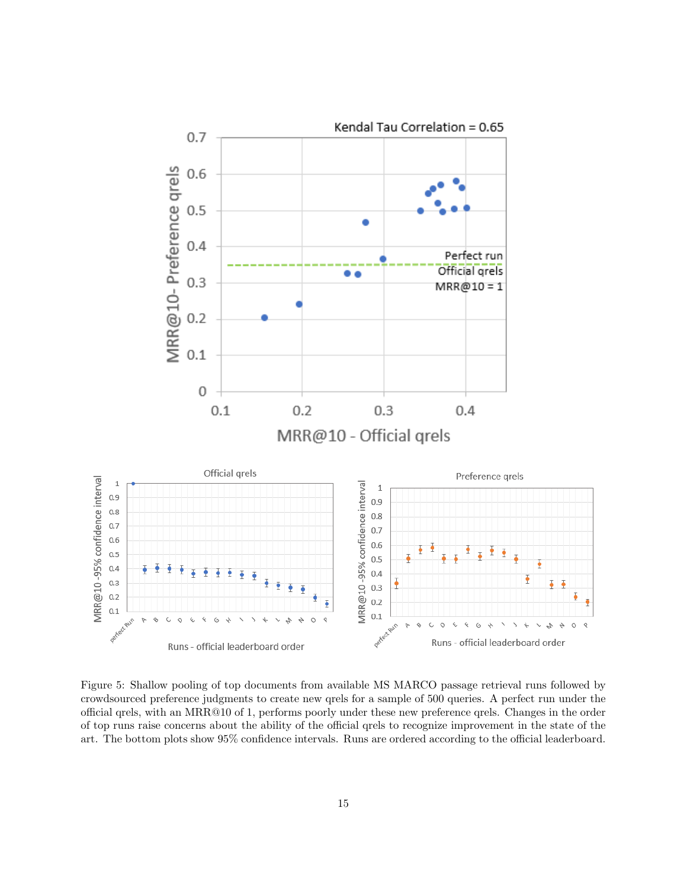

<span id="page-14-0"></span>Figure 5: Shallow pooling of top documents from available MS MARCO passage retrieval runs followed by crowdsourced preference judgments to create new qrels for a sample of 500 queries. A perfect run under the official qrels, with an MRR@10 of 1, performs poorly under these new preference qrels. Changes in the order of top runs raise concerns about the ability of the official qrels to recognize improvement in the state of the art. The bottom plots show 95% confidence intervals. Runs are ordered according to the official leaderboard.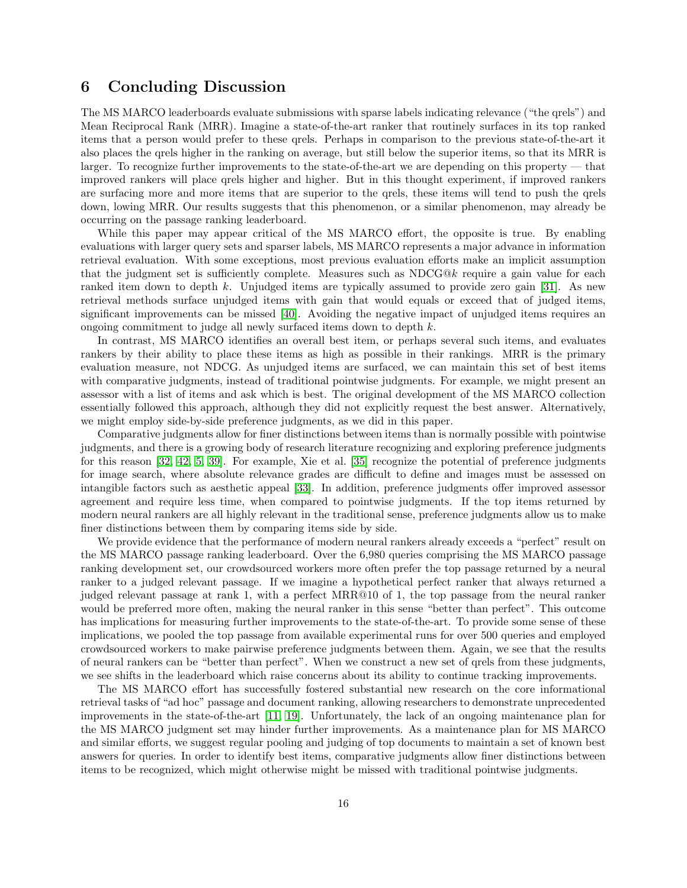# 6 Concluding Discussion

The MS MARCO leaderboards evaluate submissions with sparse labels indicating relevance ("the qrels") and Mean Reciprocal Rank (MRR). Imagine a state-of-the-art ranker that routinely surfaces in its top ranked items that a person would prefer to these qrels. Perhaps in comparison to the previous state-of-the-art it also places the qrels higher in the ranking on average, but still below the superior items, so that its MRR is larger. To recognize further improvements to the state-of-the-art we are depending on this property — that improved rankers will place qrels higher and higher. But in this thought experiment, if improved rankers are surfacing more and more items that are superior to the qrels, these items will tend to push the qrels down, lowing MRR. Our results suggests that this phenomenon, or a similar phenomenon, may already be occurring on the passage ranking leaderboard.

While this paper may appear critical of the MS MARCO effort, the opposite is true. By enabling evaluations with larger query sets and sparser labels, MS MARCO represents a major advance in information retrieval evaluation. With some exceptions, most previous evaluation efforts make an implicit assumption that the judgment set is sufficiently complete. Measures such as NDCG@k require a gain value for each ranked item down to depth k. Unjudged items are typically assumed to provide zero gain [\[31\]](#page-17-17). As new retrieval methods surface unjudged items with gain that would equals or exceed that of judged items, significant improvements can be missed [\[40\]](#page-18-9). Avoiding the negative impact of unjudged items requires an ongoing commitment to judge all newly surfaced items down to depth k.

In contrast, MS MARCO identifies an overall best item, or perhaps several such items, and evaluates rankers by their ability to place these items as high as possible in their rankings. MRR is the primary evaluation measure, not NDCG. As unjudged items are surfaced, we can maintain this set of best items with comparative judgments, instead of traditional pointwise judgments. For example, we might present an assessor with a list of items and ask which is best. The original development of the MS MARCO collection essentially followed this approach, although they did not explicitly request the best answer. Alternatively, we might employ side-by-side preference judgments, as we did in this paper.

Comparative judgments allow for finer distinctions between items than is normally possible with pointwise judgments, and there is a growing body of research literature recognizing and exploring preference judgments for this reason [\[32,](#page-17-10) [42,](#page-18-5) [5,](#page-16-10) [39\]](#page-18-4). For example, Xie et al. [\[35\]](#page-18-3) recognize the potential of preference judgments for image search, where absolute relevance grades are difficult to define and images must be assessed on intangible factors such as aesthetic appeal [\[33\]](#page-17-8). In addition, preference judgments offer improved assessor agreement and require less time, when compared to pointwise judgments. If the top items returned by modern neural rankers are all highly relevant in the traditional sense, preference judgments allow us to make finer distinctions between them by comparing items side by side.

We provide evidence that the performance of modern neural rankers already exceeds a "perfect" result on the MS MARCO passage ranking leaderboard. Over the 6,980 queries comprising the MS MARCO passage ranking development set, our crowdsourced workers more often prefer the top passage returned by a neural ranker to a judged relevant passage. If we imagine a hypothetical perfect ranker that always returned a judged relevant passage at rank 1, with a perfect MRR@10 of 1, the top passage from the neural ranker would be preferred more often, making the neural ranker in this sense "better than perfect". This outcome has implications for measuring further improvements to the state-of-the-art. To provide some sense of these implications, we pooled the top passage from available experimental runs for over 500 queries and employed crowdsourced workers to make pairwise preference judgments between them. Again, we see that the results of neural rankers can be "better than perfect". When we construct a new set of qrels from these judgments, we see shifts in the leaderboard which raise concerns about its ability to continue tracking improvements.

The MS MARCO effort has successfully fostered substantial new research on the core informational retrieval tasks of "ad hoc" passage and document ranking, allowing researchers to demonstrate unprecedented improvements in the state-of-the-art [\[11,](#page-16-5) [19\]](#page-17-5). Unfortunately, the lack of an ongoing maintenance plan for the MS MARCO judgment set may hinder further improvements. As a maintenance plan for MS MARCO and similar efforts, we suggest regular pooling and judging of top documents to maintain a set of known best answers for queries. In order to identify best items, comparative judgments allow finer distinctions between items to be recognized, which might otherwise might be missed with traditional pointwise judgments.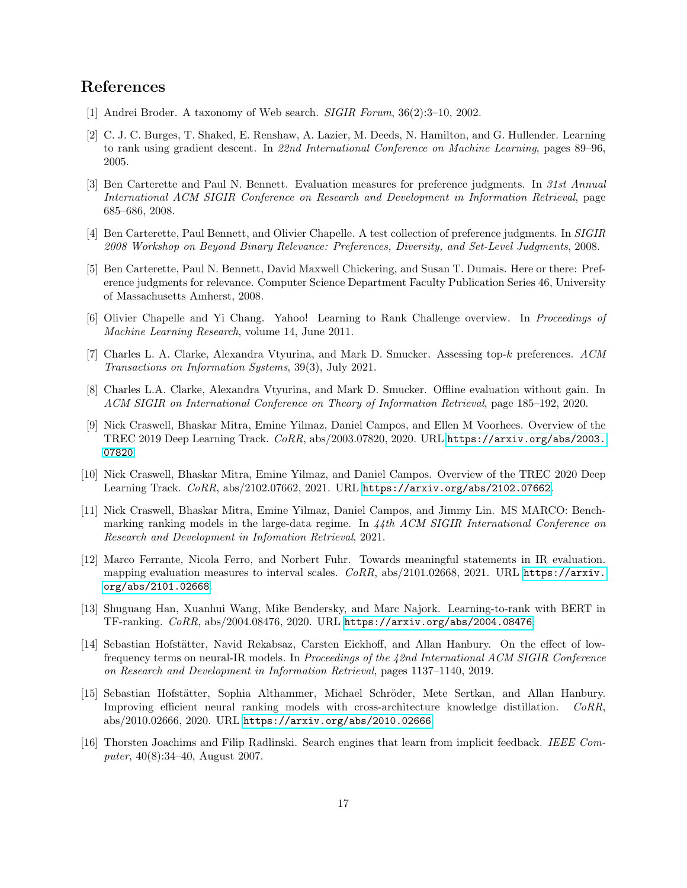# References

- <span id="page-16-17"></span><span id="page-16-16"></span><span id="page-16-15"></span><span id="page-16-9"></span>[1] Andrei Broder. A taxonomy of Web search. SIGIR Forum, 36(2):3–10, 2002.
- <span id="page-16-0"></span>[2] C. J. C. Burges, T. Shaked, E. Renshaw, A. Lazier, M. Deeds, N. Hamilton, and G. Hullender. Learning to rank using gradient descent. In 22nd International Conference on Machine Learning, pages 89–96, 2005.
- <span id="page-16-11"></span>[3] Ben Carterette and Paul N. Bennett. Evaluation measures for preference judgments. In 31st Annual International ACM SIGIR Conference on Research and Development in Information Retrieval, page 685–686, 2008.
- <span id="page-16-12"></span>[4] Ben Carterette, Paul Bennett, and Olivier Chapelle. A test collection of preference judgments. In SIGIR 2008 Workshop on Beyond Binary Relevance: Preferences, Diversity, and Set-Level Judgments, 2008.
- <span id="page-16-10"></span>[5] Ben Carterette, Paul N. Bennett, David Maxwell Chickering, and Susan T. Dumais. Here or there: Preference judgments for relevance. Computer Science Department Faculty Publication Series 46, University of Massachusetts Amherst, 2008.
- <span id="page-16-2"></span>[6] Olivier Chapelle and Yi Chang. Yahoo! Learning to Rank Challenge overview. In Proceedings of Machine Learning Research, volume 14, June 2011.
- <span id="page-16-13"></span>[7] Charles L. A. Clarke, Alexandra Vtyurina, and Mark D. Smucker. Assessing top-k preferences. ACM Transactions on Information Systems, 39(3), July 2021.
- <span id="page-16-14"></span>[8] Charles L.A. Clarke, Alexandra Vtyurina, and Mark D. Smucker. Offline evaluation without gain. In ACM SIGIR on International Conference on Theory of Information Retrieval, page 185–192, 2020.
- <span id="page-16-7"></span>[9] Nick Craswell, Bhaskar Mitra, Emine Yilmaz, Daniel Campos, and Ellen M Voorhees. Overview of the TREC 2019 Deep Learning Track. CoRR, abs/2003.07820, 2020. URL [https://arxiv.org/abs/2003.](https://arxiv.org/abs/2003.07820) [07820](https://arxiv.org/abs/2003.07820).
- <span id="page-16-8"></span>[10] Nick Craswell, Bhaskar Mitra, Emine Yilmaz, and Daniel Campos. Overview of the TREC 2020 Deep Learning Track. CoRR, abs/2102.07662, 2021. URL <https://arxiv.org/abs/2102.07662>.
- <span id="page-16-5"></span>[11] Nick Craswell, Bhaskar Mitra, Emine Yilmaz, Daniel Campos, and Jimmy Lin. MS MARCO: Benchmarking ranking models in the large-data regime. In 44th ACM SIGIR International Conference on Research and Development in Infomation Retrieval, 2021.
- <span id="page-16-6"></span>[12] Marco Ferrante, Nicola Ferro, and Norbert Fuhr. Towards meaningful statements in IR evaluation. mapping evaluation measures to interval scales.  $CoRR$ , abs/2101.02668, 2021. URL [https://arxiv.](https://arxiv.org/abs/2101.02668) [org/abs/2101.02668](https://arxiv.org/abs/2101.02668).
- <span id="page-16-4"></span>[13] Shuguang Han, Xuanhui Wang, Mike Bendersky, and Marc Najork. Learning-to-rank with BERT in TF-ranking. CoRR, abs/2004.08476, 2020. URL <https://arxiv.org/abs/2004.08476>.
- [14] Sebastian Hofstätter, Navid Rekabsaz, Carsten Eickhoff, and Allan Hanbury. On the effect of lowfrequency terms on neural-IR models. In Proceedings of the 42nd International ACM SIGIR Conference on Research and Development in Information Retrieval, pages 1137–1140, 2019.
- <span id="page-16-3"></span>[15] Sebastian Hofstätter, Sophia Althammer, Michael Schröder, Mete Sertkan, and Allan Hanbury. Improving efficient neural ranking models with cross-architecture knowledge distillation. CoRR, abs/2010.02666, 2020. URL <https://arxiv.org/abs/2010.02666>.
- <span id="page-16-1"></span>[16] Thorsten Joachims and Filip Radlinski. Search engines that learn from implicit feedback. IEEE Computer, 40(8):34–40, August 2007.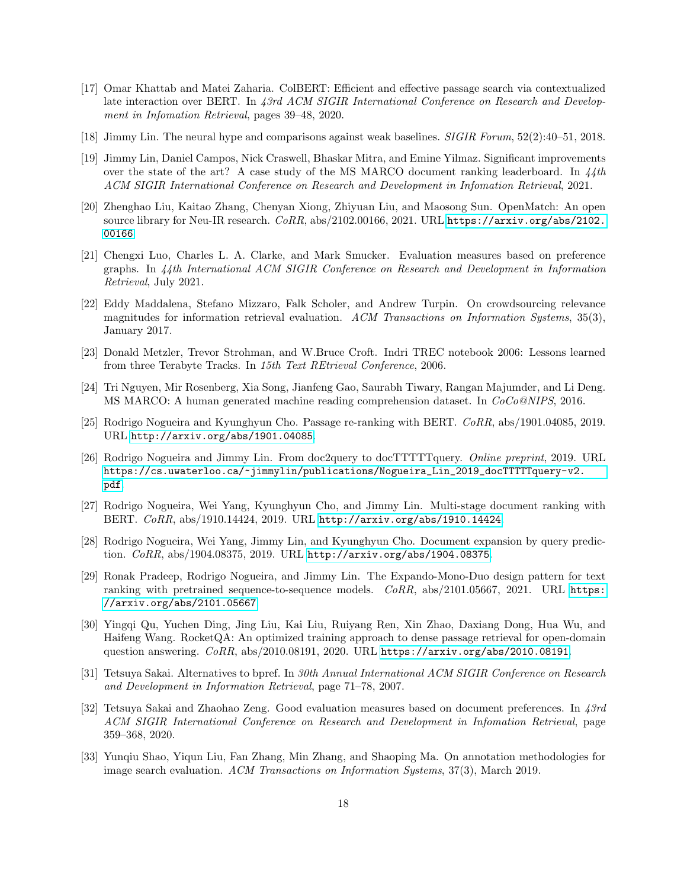- <span id="page-17-16"></span><span id="page-17-15"></span><span id="page-17-14"></span><span id="page-17-13"></span><span id="page-17-12"></span><span id="page-17-2"></span>[17] Omar Khattab and Matei Zaharia. ColBERT: Efficient and effective passage search via contextualized late interaction over BERT. In 43rd ACM SIGIR International Conference on Research and Development in Infomation Retrieval, pages 39–48, 2020.
- <span id="page-17-0"></span>[18] Jimmy Lin. The neural hype and comparisons against weak baselines. SIGIR Forum, 52(2):40–51, 2018.
- <span id="page-17-5"></span>[19] Jimmy Lin, Daniel Campos, Nick Craswell, Bhaskar Mitra, and Emine Yilmaz. Significant improvements over the state of the art? A case study of the MS MARCO document ranking leaderboard. In  $\frac{4}{4}$ th ACM SIGIR International Conference on Research and Development in Infomation Retrieval, 2021.
- [20] Zhenghao Liu, Kaitao Zhang, Chenyan Xiong, Zhiyuan Liu, and Maosong Sun. OpenMatch: An open source library for Neu-IR research.  $CoRR$ , abs/2102.00166, 2021. URL [https://arxiv.org/abs/2102.](https://arxiv.org/abs/2102.00166) [00166](https://arxiv.org/abs/2102.00166).
- <span id="page-17-11"></span>[21] Chengxi Luo, Charles L. A. Clarke, and Mark Smucker. Evaluation measures based on preference graphs. In 44th International ACM SIGIR Conference on Research and Development in Information Retrieval, July 2021.
- <span id="page-17-9"></span>[22] Eddy Maddalena, Stefano Mizzaro, Falk Scholer, and Andrew Turpin. On crowdsourcing relevance magnitudes for information retrieval evaluation. ACM Transactions on Information Systems, 35(3), January 2017.
- <span id="page-17-7"></span>[23] Donald Metzler, Trevor Strohman, and W.Bruce Croft. Indri TREC notebook 2006: Lessons learned from three Terabyte Tracks. In 15th Text REtrieval Conference, 2006.
- <span id="page-17-6"></span>[24] Tri Nguyen, Mir Rosenberg, Xia Song, Jianfeng Gao, Saurabh Tiwary, Rangan Majumder, and Li Deng. MS MARCO: A human generated machine reading comprehension dataset. In CoCo@NIPS, 2016.
- <span id="page-17-3"></span>[25] Rodrigo Nogueira and Kyunghyun Cho. Passage re-ranking with BERT. CoRR, abs/1901.04085, 2019. URL <http://arxiv.org/abs/1901.04085>.
- [26] Rodrigo Nogueira and Jimmy Lin. From doc2query to docTTTTTquery. Online preprint, 2019. URL [https://cs.uwaterloo.ca/~jimmylin/publications/Nogueira\\_Lin\\_2019\\_docTTTTTquery-v2.](https://cs.uwaterloo.ca/~jimmylin/publications/Nogueira_Lin_2019_docTTTTTquery-v2.pdf) [pdf](https://cs.uwaterloo.ca/~jimmylin/publications/Nogueira_Lin_2019_docTTTTTquery-v2.pdf).
- <span id="page-17-4"></span>[27] Rodrigo Nogueira, Wei Yang, Kyunghyun Cho, and Jimmy Lin. Multi-stage document ranking with BERT. CoRR, abs/1910.14424, 2019. URL <http://arxiv.org/abs/1910.14424>.
- [28] Rodrigo Nogueira, Wei Yang, Jimmy Lin, and Kyunghyun Cho. Document expansion by query prediction. CoRR, abs/1904.08375, 2019. URL <http://arxiv.org/abs/1904.08375>.
- [29] Ronak Pradeep, Rodrigo Nogueira, and Jimmy Lin. The Expando-Mono-Duo design pattern for text ranking with pretrained sequence-to-sequence models.  $CoRR$ , abs/2101.05667, 2021. URL [https:](https://arxiv.org/abs/2101.05667) [//arxiv.org/abs/2101.05667](https://arxiv.org/abs/2101.05667).
- <span id="page-17-1"></span>[30] Yingqi Qu, Yuchen Ding, Jing Liu, Kai Liu, Ruiyang Ren, Xin Zhao, Daxiang Dong, Hua Wu, and Haifeng Wang. RocketQA: An optimized training approach to dense passage retrieval for open-domain question answering. CoRR, abs/2010.08191, 2020. URL <https://arxiv.org/abs/2010.08191>.
- <span id="page-17-17"></span>[31] Tetsuya Sakai. Alternatives to bpref. In 30th Annual International ACM SIGIR Conference on Research and Development in Information Retrieval, page 71–78, 2007.
- <span id="page-17-10"></span>[32] Tetsuya Sakai and Zhaohao Zeng. Good evaluation measures based on document preferences. In 43rd ACM SIGIR International Conference on Research and Development in Infomation Retrieval, page 359–368, 2020.
- <span id="page-17-8"></span>[33] Yunqiu Shao, Yiqun Liu, Fan Zhang, Min Zhang, and Shaoping Ma. On annotation methodologies for image search evaluation. ACM Transactions on Information Systems, 37(3), March 2019.